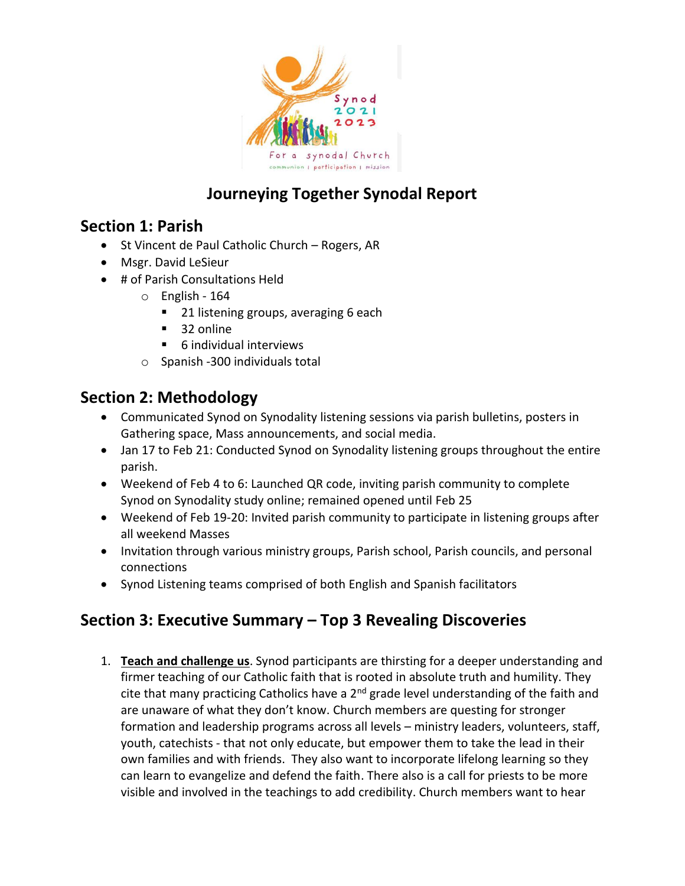

# **Journeying Together Synodal Report**

### **Section 1: Parish**

- St Vincent de Paul Catholic Church Rogers, AR
- Msgr. David LeSieur
- # of Parish Consultations Held
	- o English 164
		- 21 listening groups, averaging 6 each
		- $\blacksquare$  32 online
		- 6 individual interviews
	- o Spanish -300 individuals total

### **Section 2: Methodology**

- Communicated Synod on Synodality listening sessions via parish bulletins, posters in Gathering space, Mass announcements, and social media.
- Jan 17 to Feb 21: Conducted Synod on Synodality listening groups throughout the entire parish.
- Weekend of Feb 4 to 6: Launched QR code, inviting parish community to complete Synod on Synodality study online; remained opened until Feb 25
- Weekend of Feb 19-20: Invited parish community to participate in listening groups after all weekend Masses
- Invitation through various ministry groups, Parish school, Parish councils, and personal connections
- Synod Listening teams comprised of both English and Spanish facilitators

## **Section 3: Executive Summary – Top 3 Revealing Discoveries**

1. **Teach and challenge us**. Synod participants are thirsting for a deeper understanding and firmer teaching of our Catholic faith that is rooted in absolute truth and humility. They cite that many practicing Catholics have a  $2<sup>nd</sup>$  grade level understanding of the faith and are unaware of what they don't know. Church members are questing for stronger formation and leadership programs across all levels – ministry leaders, volunteers, staff, youth, catechists - that not only educate, but empower them to take the lead in their own families and with friends. They also want to incorporate lifelong learning so they can learn to evangelize and defend the faith. There also is a call for priests to be more visible and involved in the teachings to add credibility. Church members want to hear